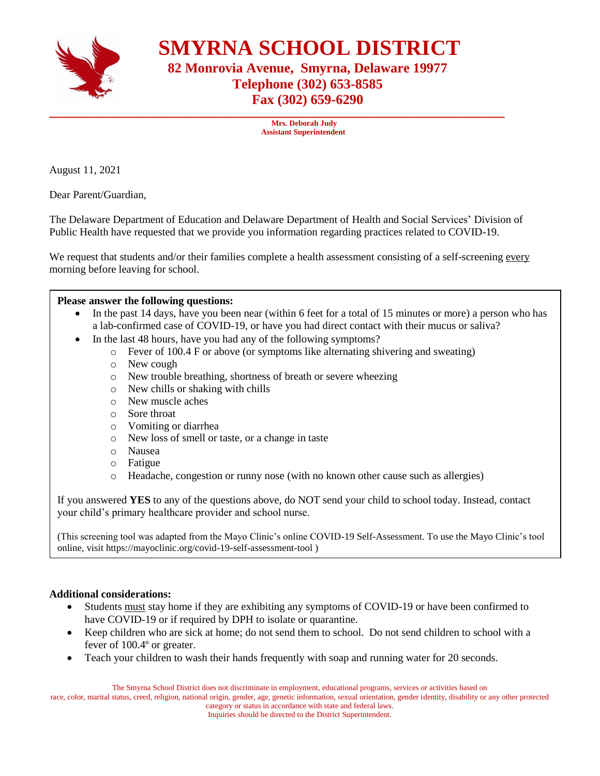

 **SMYRNA SCHOOL DISTRICT**

## **82 Monrovia Avenue, Smyrna, Delaware 19977 Telephone (302) 653-8585 Fax (302) 659-6290**

 **Mrs. Deborah Judy Assistant Superintendent**

\_\_\_\_\_\_\_\_\_\_\_\_\_\_\_\_\_\_\_\_\_\_\_\_\_\_\_\_\_\_\_\_\_\_\_\_\_\_\_\_\_\_\_\_\_\_\_\_\_\_\_\_\_\_\_\_\_\_\_\_\_\_\_\_\_\_\_\_\_\_\_\_\_\_\_\_\_\_\_\_\_\_\_\_\_\_\_\_\_\_\_\_\_

August 11, 2021

Dear Parent/Guardian,

The Delaware Department of Education and Delaware Department of Health and Social Services' Division of Public Health have requested that we provide you information regarding practices related to COVID-19.

We request that students and/or their families complete a health assessment consisting of a self-screening every morning before leaving for school.

## **Please answer the following questions:**

- In the past 14 days, have you been near (within 6 feet for a total of 15 minutes or more) a person who has a lab-confirmed case of COVID-19, or have you had direct contact with their mucus or saliva?
- In the last 48 hours, have you had any of the following symptoms?
	- o Fever of 100.4 F or above (or symptoms like alternating shivering and sweating)
	- o New cough
	- o New trouble breathing, shortness of breath or severe wheezing
	- o New chills or shaking with chills
	- o New muscle aches
	- o Sore throat
	- o Vomiting or diarrhea
	- o New loss of smell or taste, or a change in taste
	- o Nausea
	- o Fatigue
	- o Headache, congestion or runny nose (with no known other cause such as allergies)

If you answered **YES** to any of the questions above, do NOT send your child to school today. Instead, contact your child's primary healthcare provider and school nurse.

(This screening tool was adapted from the Mayo Clinic's online COVID-19 Self-Assessment. To use the Mayo Clinic's tool online, visit https:/[/mayoclinic.org/covid-19-self-assessment-tool](https://www.mayoclinic.org/covid-19-self-assessment-tool) )

## **Additional considerations:**

- Students must stay home if they are exhibiting any symptoms of COVID-19 or have been confirmed to have COVID-19 or if required by DPH to isolate or quarantine.
- Keep children who are sick at home; do not send them to school. Do not send children to school with a fever of 100.4º or greater.
- Teach your children to wash their hands frequently with soap and running water for 20 seconds.

The Smyrna School District does not discriminate in employment, educational programs, services or activities based on

race, color, marital status, creed, religion, national origin, gender, age, genetic information, sexual orientation, gender identity, disability or any other protected category or status in accordance with state and federal laws.

Inquiries should be directed to the District Superintendent.